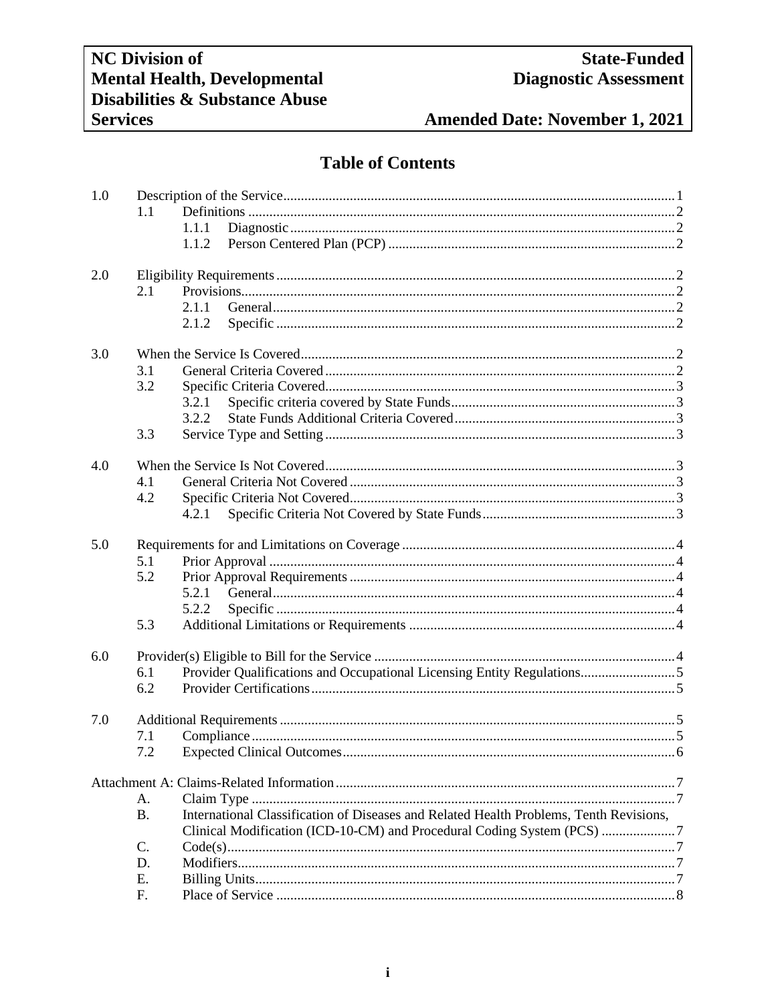# **Amended Date: November 1, 2021**

# **Table of Contents**

| 1.0 |           |                                                                                        |  |  |  |
|-----|-----------|----------------------------------------------------------------------------------------|--|--|--|
|     | 1.1       |                                                                                        |  |  |  |
|     |           | 1.1.1                                                                                  |  |  |  |
|     |           | 1.1.2                                                                                  |  |  |  |
|     |           |                                                                                        |  |  |  |
| 2.0 |           |                                                                                        |  |  |  |
|     | 2.1       |                                                                                        |  |  |  |
|     |           | 2.1.1                                                                                  |  |  |  |
|     |           | 2.1.2                                                                                  |  |  |  |
| 3.0 |           |                                                                                        |  |  |  |
|     | 3.1       |                                                                                        |  |  |  |
|     | 3.2       |                                                                                        |  |  |  |
|     |           | 3.2.1                                                                                  |  |  |  |
|     |           | 3.2.2                                                                                  |  |  |  |
|     | 3.3       |                                                                                        |  |  |  |
|     |           |                                                                                        |  |  |  |
| 4.0 |           |                                                                                        |  |  |  |
|     | 4.1       |                                                                                        |  |  |  |
|     | 4.2       |                                                                                        |  |  |  |
|     |           | 4.2.1                                                                                  |  |  |  |
| 5.0 |           |                                                                                        |  |  |  |
|     | 5.1       |                                                                                        |  |  |  |
|     | 5.2       |                                                                                        |  |  |  |
|     |           | 5.2.1                                                                                  |  |  |  |
|     |           | 5.2.2                                                                                  |  |  |  |
|     | 5.3       |                                                                                        |  |  |  |
|     |           |                                                                                        |  |  |  |
| 6.0 |           |                                                                                        |  |  |  |
|     | 6.1       | Provider Qualifications and Occupational Licensing Entity Regulations5                 |  |  |  |
|     | 6.2       |                                                                                        |  |  |  |
| 7.0 |           |                                                                                        |  |  |  |
|     | 7.1       |                                                                                        |  |  |  |
|     | 72        | Expected Clinical Outcomes                                                             |  |  |  |
|     |           |                                                                                        |  |  |  |
|     |           |                                                                                        |  |  |  |
|     | A.        |                                                                                        |  |  |  |
|     | <b>B.</b> | International Classification of Diseases and Related Health Problems, Tenth Revisions, |  |  |  |
|     |           |                                                                                        |  |  |  |
|     | C.        |                                                                                        |  |  |  |
|     | D.        |                                                                                        |  |  |  |
|     | Ε.        |                                                                                        |  |  |  |
|     | F.        |                                                                                        |  |  |  |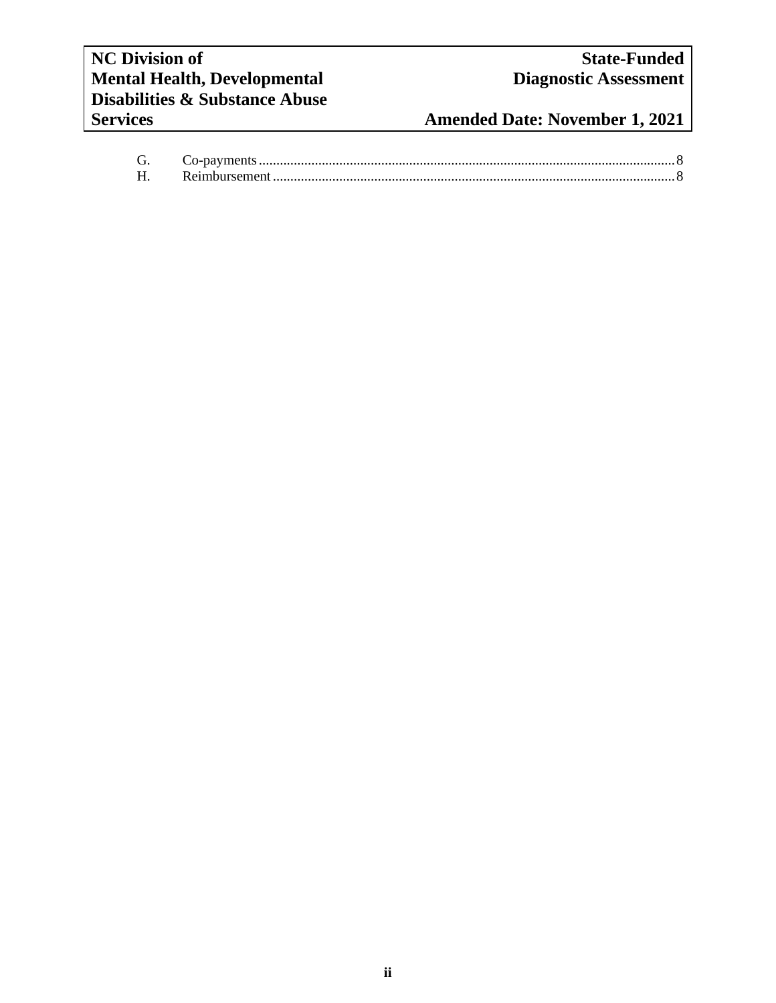**Services Amended Date: November 1, 2021**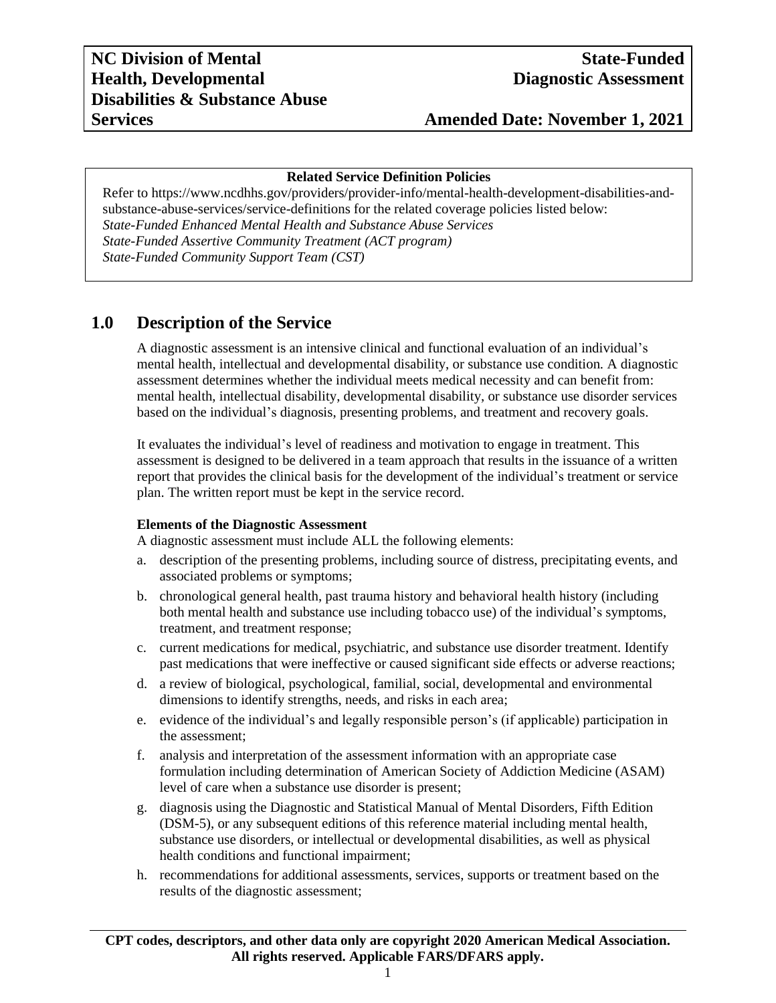## **Related Service Definition Policies**

Refer to https://www.ncdhhs.gov/providers/provider-info/mental-health-development-disabilities-andsubstance-abuse-services/service-definitions for the related coverage policies listed below: *State-Funded Enhanced Mental Health and Substance Abuse Services State-Funded Assertive Community Treatment (ACT program) State-Funded Community Support Team (CST)*

# <span id="page-2-0"></span>**1.0 Description of the Service**

A diagnostic assessment is an intensive clinical and functional evaluation of an individual's mental health, intellectual and developmental disability, or substance use condition. A diagnostic assessment determines whether the individual meets medical necessity and can benefit from: mental health, intellectual disability, developmental disability, or substance use disorder services based on the individual's diagnosis, presenting problems, and treatment and recovery goals.

It evaluates the individual's level of readiness and motivation to engage in treatment. This assessment is designed to be delivered in a team approach that results in the issuance of a written report that provides the clinical basis for the development of the individual's treatment or service plan. The written report must be kept in the service record.

## **Elements of the Diagnostic Assessment**

A diagnostic assessment must include ALL the following elements:

- a. description of the presenting problems, including source of distress, precipitating events, and associated problems or symptoms;
- b. chronological general health, past trauma history and behavioral health history (including both mental health and substance use including tobacco use) of the individual's symptoms, treatment, and treatment response;
- c. current medications for medical, psychiatric, and substance use disorder treatment. Identify past medications that were ineffective or caused significant side effects or adverse reactions;
- d. a review of biological, psychological, familial, social, developmental and environmental dimensions to identify strengths, needs, and risks in each area;
- e. evidence of the individual's and legally responsible person's (if applicable) participation in the assessment;
- f. analysis and interpretation of the assessment information with an appropriate case formulation including determination of American Society of Addiction Medicine (ASAM) level of care when a substance use disorder is present;
- g. diagnosis using the Diagnostic and Statistical Manual of Mental Disorders, Fifth Edition (DSM-5), or any subsequent editions of this reference material including mental health, substance use disorders, or intellectual or developmental disabilities, as well as physical health conditions and functional impairment;
- h. recommendations for additional assessments, services, supports or treatment based on the results of the diagnostic assessment;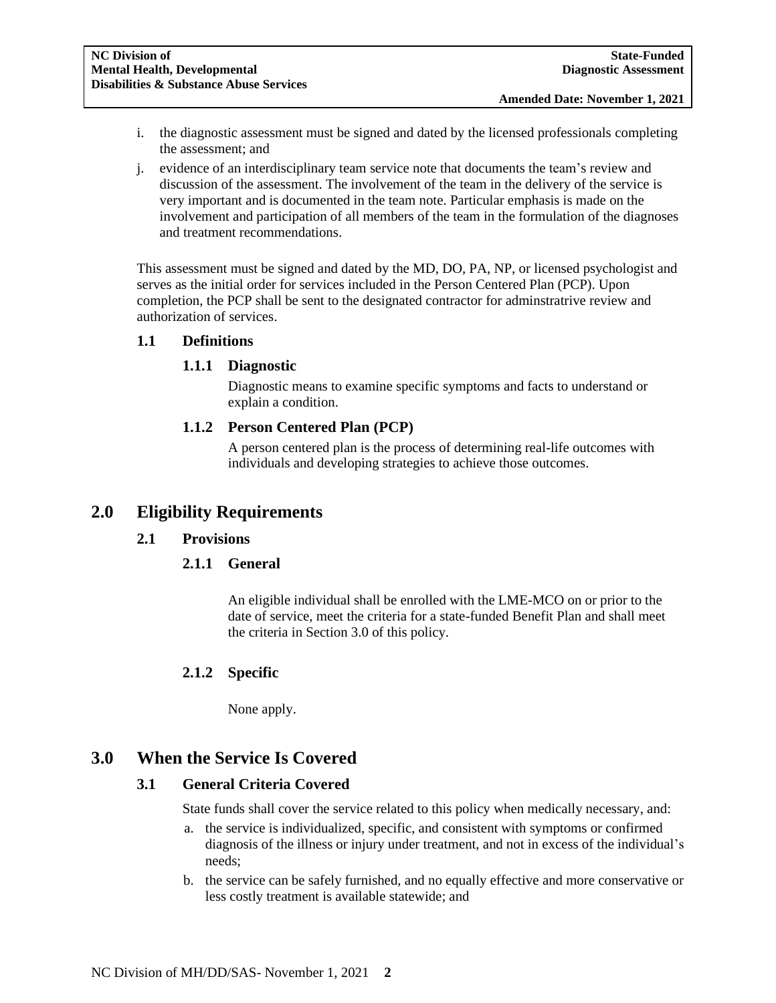- i. the diagnostic assessment must be signed and dated by the licensed professionals completing the assessment; and
- j. evidence of an interdisciplinary team service note that documents the team's review and discussion of the assessment. The involvement of the team in the delivery of the service is very important and is documented in the team note. Particular emphasis is made on the involvement and participation of all members of the team in the formulation of the diagnoses and treatment recommendations.

This assessment must be signed and dated by the MD, DO, PA, NP, or licensed psychologist and serves as the initial order for services included in the Person Centered Plan (PCP). Upon completion, the PCP shall be sent to the designated contractor for adminstratrive review and authorization of services.

### <span id="page-3-2"></span><span id="page-3-1"></span><span id="page-3-0"></span>**1.1 Definitions**

#### **1.1.1 Diagnostic**

Diagnostic means to examine specific symptoms and facts to understand or explain a condition.

## **1.1.2 Person Centered Plan (PCP)**

A person centered plan is the process of determining real-life outcomes with individuals and developing strategies to achieve those outcomes.

# <span id="page-3-5"></span><span id="page-3-4"></span><span id="page-3-3"></span>**2.0 Eligibility Requirements**

### **2.1 Provisions**

## **2.1.1 General**

An eligible individual shall be enrolled with the LME-MCO on or prior to the date of service, meet the criteria for a state-funded Benefit Plan and shall meet the criteria in Section 3.0 of this policy.

### **2.1.2 Specific**

None apply.

# <span id="page-3-8"></span><span id="page-3-7"></span><span id="page-3-6"></span>**3.0 When the Service Is Covered**

### **3.1 General Criteria Covered**

State funds shall cover the service related to this policy when medically necessary, and:

- a. the service is individualized, specific, and consistent with symptoms or confirmed diagnosis of the illness or injury under treatment, and not in excess of the individual's needs;
- b. the service can be safely furnished, and no equally effective and more conservative or less costly treatment is available statewide; and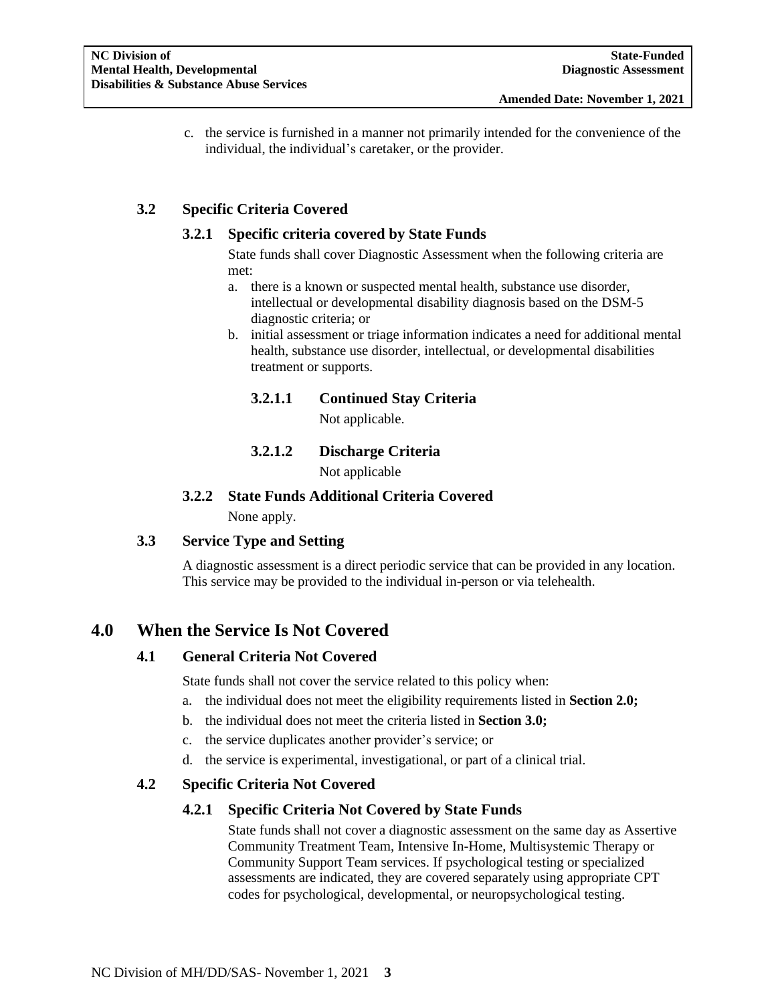c. the service is furnished in a manner not primarily intended for the convenience of the individual, the individual's caretaker, or the provider.

# <span id="page-4-1"></span><span id="page-4-0"></span>**3.2 Specific Criteria Covered**

## **3.2.1 Specific criteria covered by State Funds**

State funds shall cover Diagnostic Assessment when the following criteria are met:

- a. there is a known or suspected mental health, substance use disorder, intellectual or developmental disability diagnosis based on the DSM-5 diagnostic criteria; or
- b. initial assessment or triage information indicates a need for additional mental health, substance use disorder, intellectual, or developmental disabilities treatment or supports.

### **3.2.1.1 Continued Stay Criteria**

Not applicable.

# **3.2.1.2 Discharge Criteria**

Not applicable

# **3.2.2 State Funds Additional Criteria Covered**

None apply.

### <span id="page-4-3"></span><span id="page-4-2"></span>**3.3 Service Type and Setting**

A diagnostic assessment is a direct periodic service that can be provided in any location. This service may be provided to the individual in-person or via telehealth.

# <span id="page-4-5"></span><span id="page-4-4"></span>**4.0 When the Service Is Not Covered**

## **4.1 General Criteria Not Covered**

State funds shall not cover the service related to this policy when:

- a. the individual does not meet the eligibility requirements listed in **Section 2.0;**
- b. the individual does not meet the criteria listed in **Section 3.0;**
- c. the service duplicates another provider's service; or
- d. the service is experimental, investigational, or part of a clinical trial.

## <span id="page-4-7"></span><span id="page-4-6"></span>**4.2 Specific Criteria Not Covered**

## **4.2.1 Specific Criteria Not Covered by State Funds**

State funds shall not cover a diagnostic assessment on the same day as Assertive Community Treatment Team, Intensive In-Home, Multisystemic Therapy or Community Support Team services. If psychological testing or specialized assessments are indicated, they are covered separately using appropriate CPT codes for psychological, developmental, or neuropsychological testing.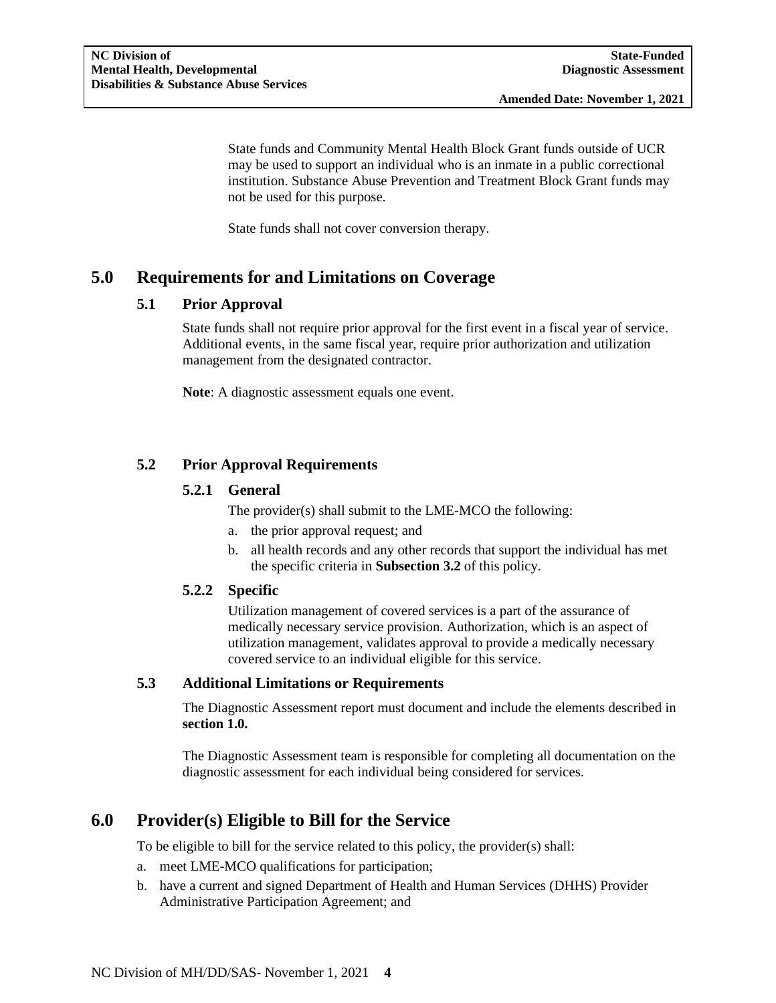State funds and Community Mental Health Block Grant funds outside of UCR may be used to support an individual who is an inmate in a public correctional institution. Substance Abuse Prevention and Treatment Block Grant funds may not be used for this purpose.

State funds shall not cover conversion therapy.

# <span id="page-5-1"></span><span id="page-5-0"></span>**5.0 Requirements for and Limitations on Coverage**

# **5.1 Prior Approval**

State funds shall not require prior approval for the first event in a fiscal year of service. Additional events, in the same fiscal year, require prior authorization and utilization management from the designated contractor.

**Note**: A diagnostic assessment equals one event.

# <span id="page-5-3"></span><span id="page-5-2"></span>**5.2 Prior Approval Requirements**

## **5.2.1 General**

The provider(s) shall submit to the LME-MCO the following:

- a. the prior approval request; and
- b. all health records and any other records that support the individual has met the specific criteria in **Subsection 3.2** of this policy.

### <span id="page-5-4"></span>**5.2.2 Specific**

Utilization management of covered services is a part of the assurance of medically necessary service provision. Authorization, which is an aspect of utilization management, validates approval to provide a medically necessary covered service to an individual eligible for this service.

### <span id="page-5-5"></span>**5.3 Additional Limitations or Requirements**

The Diagnostic Assessment report must document and include the elements described in **section 1.0.**

The Diagnostic Assessment team is responsible for completing all documentation on the diagnostic assessment for each individual being considered for services.

# <span id="page-5-6"></span>**6.0 Provider(s) Eligible to Bill for the Service**

To be eligible to bill for the service related to this policy, the provider(s) shall:

- a. meet LME-MCO qualifications for participation;
- b. have a current and signed Department of Health and Human Services (DHHS) Provider Administrative Participation Agreement; and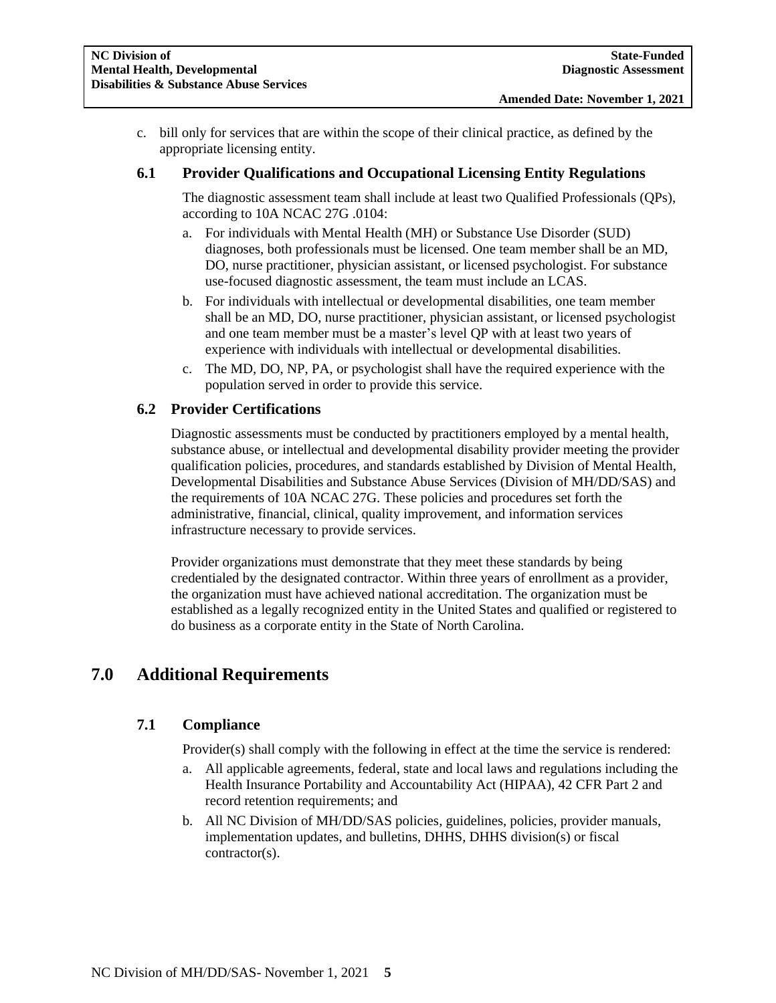c. bill only for services that are within the scope of their clinical practice, as defined by the appropriate licensing entity.

## <span id="page-6-0"></span>**6.1 Provider Qualifications and Occupational Licensing Entity Regulations**

The diagnostic assessment team shall include at least two Qualified Professionals (QPs), according to 10A NCAC 27G .0104:

- a. For individuals with Mental Health (MH) or Substance Use Disorder (SUD) diagnoses, both professionals must be licensed. One team member shall be an MD, DO, nurse practitioner, physician assistant, or licensed psychologist. For substance use-focused diagnostic assessment, the team must include an LCAS.
- b. For individuals with intellectual or developmental disabilities, one team member shall be an MD, DO, nurse practitioner, physician assistant, or licensed psychologist and one team member must be a master's level QP with at least two years of experience with individuals with intellectual or developmental disabilities.
- c. The MD, DO, NP, PA, or psychologist shall have the required experience with the population served in order to provide this service.

## <span id="page-6-1"></span>**6.2 Provider Certifications**

Diagnostic assessments must be conducted by practitioners employed by a mental health, substance abuse, or intellectual and developmental disability provider meeting the provider qualification policies, procedures, and standards established by Division of Mental Health, Developmental Disabilities and Substance Abuse Services (Division of MH/DD/SAS) and the requirements of 10A NCAC 27G. These policies and procedures set forth the administrative, financial, clinical, quality improvement, and information services infrastructure necessary to provide services.

Provider organizations must demonstrate that they meet these standards by being credentialed by the designated contractor. Within three years of enrollment as a provider, the organization must have achieved national accreditation. The organization must be established as a legally recognized entity in the United States and qualified or registered to do business as a corporate entity in the State of North Carolina.

# <span id="page-6-3"></span><span id="page-6-2"></span>**7.0 Additional Requirements**

## **7.1 Compliance**

Provider(s) shall comply with the following in effect at the time the service is rendered:

- a. All applicable agreements, federal, state and local laws and regulations including the Health Insurance Portability and Accountability Act (HIPAA), 42 CFR Part 2 and record retention requirements; and
- b. All NC Division of MH/DD/SAS policies, guidelines, policies, provider manuals, implementation updates, and bulletins, DHHS, DHHS division(s) or fiscal contractor(s).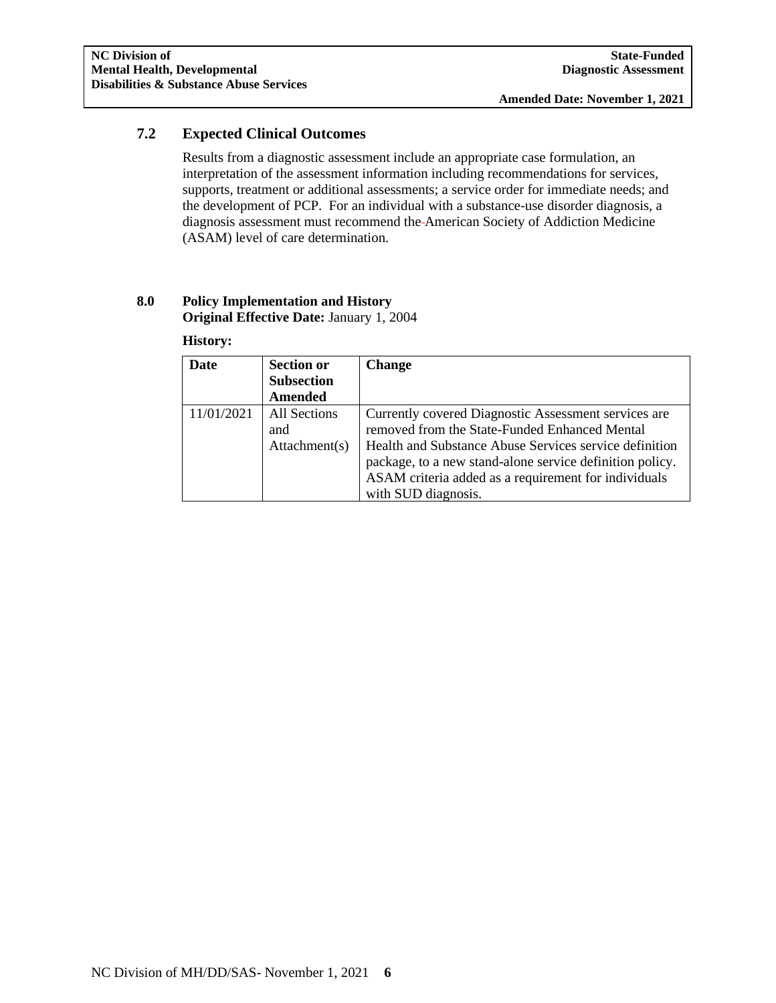# <span id="page-7-0"></span>**7.2 Expected Clinical Outcomes**

Results from a diagnostic assessment include an appropriate case formulation, an interpretation of the assessment information including recommendations for services, supports, treatment or additional assessments; a service order for immediate needs; and the development of PCP. For an individual with a substance-use disorder diagnosis, a diagnosis assessment must recommend the American Society of Addiction Medicine (ASAM) level of care determination.

### **8.0 Policy Implementation and History Original Effective Date:** January 1, 2004

### **History:**

| Date       | <b>Section or</b> | <b>Change</b>                                            |
|------------|-------------------|----------------------------------------------------------|
|            | <b>Subsection</b> |                                                          |
|            | Amended           |                                                          |
| 11/01/2021 | All Sections      | Currently covered Diagnostic Assessment services are     |
|            | and               | removed from the State-Funded Enhanced Mental            |
|            | Attentionment(s)  | Health and Substance Abuse Services service definition   |
|            |                   | package, to a new stand-alone service definition policy. |
|            |                   | ASAM criteria added as a requirement for individuals     |
|            |                   | with SUD diagnosis.                                      |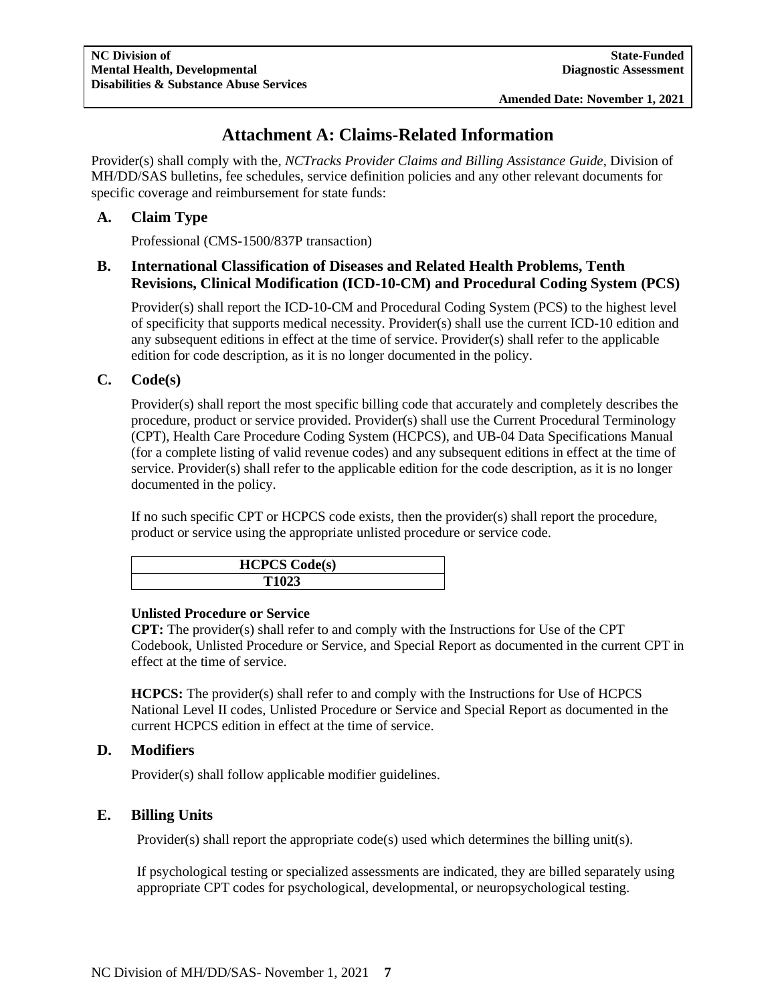# **Attachment A: Claims-Related Information**

<span id="page-8-0"></span>Provider(s) shall comply with the, *NCTracks Provider Claims and Billing Assistance Guide*, Division of MH/DD/SAS bulletins, fee schedules, service definition policies and any other relevant documents for specific coverage and reimbursement for state funds:

## <span id="page-8-1"></span>**A. Claim Type**

<span id="page-8-2"></span>Professional (CMS-1500/837P transaction)

## **B. International Classification of Diseases and Related Health Problems, Tenth Revisions, Clinical Modification (ICD-10-CM) and Procedural Coding System (PCS)**

Provider(s) shall report the ICD-10-CM and Procedural Coding System (PCS) to the highest level of specificity that supports medical necessity. Provider(s) shall use the current ICD-10 edition and any subsequent editions in effect at the time of service. Provider(s) shall refer to the applicable edition for code description, as it is no longer documented in the policy.

### <span id="page-8-3"></span>**C. Code(s)**

Provider(s) shall report the most specific billing code that accurately and completely describes the procedure, product or service provided. Provider(s) shall use the Current Procedural Terminology (CPT), Health Care Procedure Coding System (HCPCS), and UB-04 Data Specifications Manual (for a complete listing of valid revenue codes) and any subsequent editions in effect at the time of service. Provider(s) shall refer to the applicable edition for the code description, as it is no longer documented in the policy.

If no such specific CPT or HCPCS code exists, then the provider(s) shall report the procedure, product or service using the appropriate unlisted procedure or service code.

| <b>HCPCS</b> Code(s) |
|----------------------|
|                      |

### **Unlisted Procedure or Service**

**CPT:** The provider(s) shall refer to and comply with the Instructions for Use of the CPT Codebook, Unlisted Procedure or Service, and Special Report as documented in the current CPT in effect at the time of service.

**HCPCS:** The provider(s) shall refer to and comply with the Instructions for Use of HCPCS National Level II codes, Unlisted Procedure or Service and Special Report as documented in the current HCPCS edition in effect at the time of service.

### <span id="page-8-4"></span>**D. Modifiers**

Provider(s) shall follow applicable modifier guidelines.

## <span id="page-8-5"></span>**E. Billing Units**

Provider(s) shall report the appropriate code(s) used which determines the billing unit(s).

If psychological testing or specialized assessments are indicated, they are billed separately using appropriate CPT codes for psychological, developmental, or neuropsychological testing.